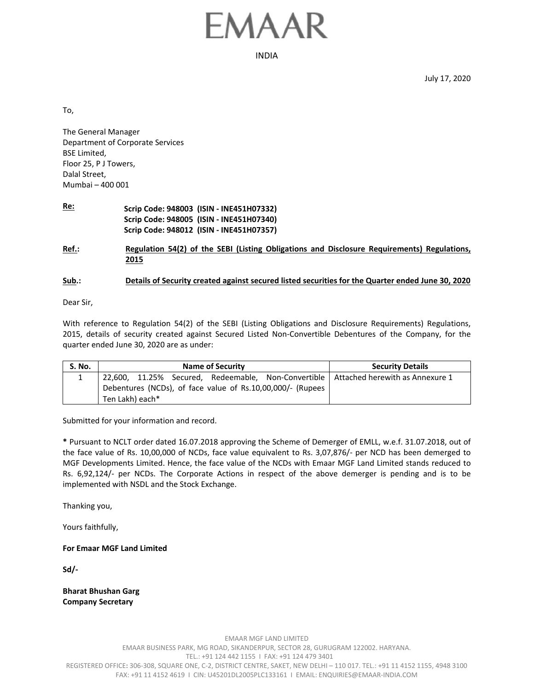## FMAAR

INDIA

July 17, 2020

To,

The General Manager Department of Corporate Services BSE Limited, Floor 25, P J Towers, Dalal Street, Mumbai – 400 001

**Re: Scrip Code: 948003 (ISIN ‐ INE451H07332) Scrip Code: 948005 (ISIN ‐ INE451H07340) Scrip Code: 948012 (ISIN ‐ INE451H07357)**

**Ref.: Regulation 54(2) of the SEBI (Listing Obligations and Disclosure Requirements) Regulations, 2015** 

## **Sub.: Details of Security created against secured listed securities for the Quarter ended June 30, 2020**

Dear Sir,

With reference to Regulation 54(2) of the SEBI (Listing Obligations and Disclosure Requirements) Regulations, 2015, details of security created against Secured Listed Non‐Convertible Debentures of the Company, for the quarter ended June 30, 2020 are as under:

| <b>S. No.</b> | <b>Name of Security</b>                                                               | <b>Security Details</b> |  |  |
|---------------|---------------------------------------------------------------------------------------|-------------------------|--|--|
|               | 22,600, 11.25% Secured, Redeemable, Non-Convertible   Attached herewith as Annexure 1 |                         |  |  |
|               | Debentures (NCDs), of face value of Rs.10,00,000/- (Rupees                            |                         |  |  |
|               | Ten Lakh) each*                                                                       |                         |  |  |

Submitted for your information and record.

**\*** Pursuant to NCLT order dated 16.07.2018 approving the Scheme of Demerger of EMLL, w.e.f. 31.07.2018, out of the face value of Rs. 10,00,000 of NCDs, face value equivalent to Rs. 3,07,876/‐ per NCD has been demerged to MGF Developments Limited. Hence, the face value of the NCDs with Emaar MGF Land Limited stands reduced to Rs. 6,92,124/‐ per NCDs. The Corporate Actions in respect of the above demerger is pending and is to be implemented with NSDL and the Stock Exchange.

Thanking you,

Yours faithfully,

**For Emaar MGF Land Limited** 

**Sd/‐** 

**Bharat Bhushan Garg Company Secretary**